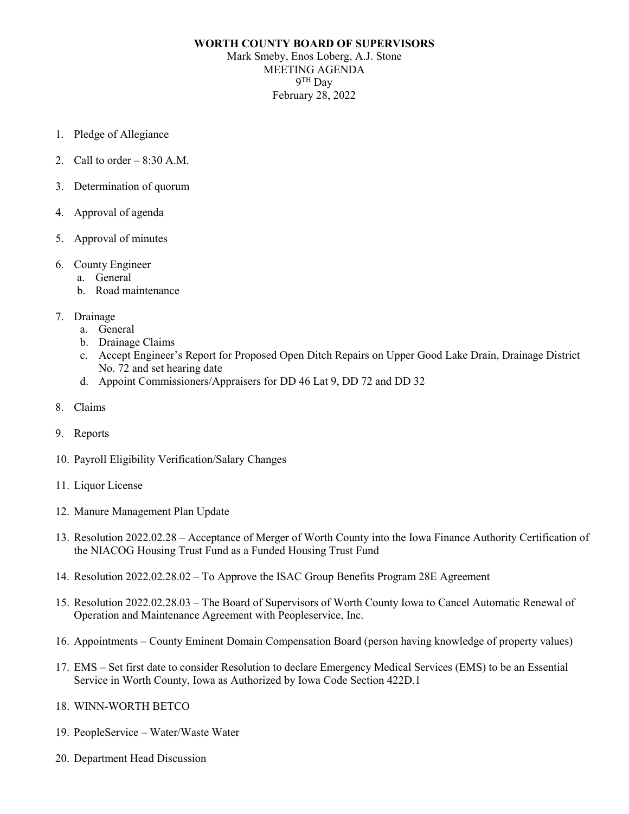## **WORTH COUNTY BOARD OF SUPERVISORS** Mark Smeby, Enos Loberg, A.J. Stone MEETING AGENDA 9TH Day February 28, 2022

- 1. Pledge of Allegiance
- 2. Call to order  $-8:30$  A.M.
- 3. Determination of quorum
- 4. Approval of agenda
- 5. Approval of minutes
- 6. County Engineer
	- a. General
	- b. Road maintenance
- 7. Drainage
	- a. General
	- b. Drainage Claims
	- c. Accept Engineer's Report for Proposed Open Ditch Repairs on Upper Good Lake Drain, Drainage District No. 72 and set hearing date
	- d. Appoint Commissioners/Appraisers for DD 46 Lat 9, DD 72 and DD 32
- 8. Claims
- 9. Reports
- 10. Payroll Eligibility Verification/Salary Changes
- 11. Liquor License
- 12. Manure Management Plan Update
- 13. Resolution 2022.02.28 Acceptance of Merger of Worth County into the Iowa Finance Authority Certification of the NIACOG Housing Trust Fund as a Funded Housing Trust Fund
- 14. Resolution 2022.02.28.02 To Approve the ISAC Group Benefits Program 28E Agreement
- 15. Resolution 2022.02.28.03 The Board of Supervisors of Worth County Iowa to Cancel Automatic Renewal of Operation and Maintenance Agreement with Peopleservice, Inc.
- 16. Appointments County Eminent Domain Compensation Board (person having knowledge of property values)
- 17. EMS Set first date to consider Resolution to declare Emergency Medical Services (EMS) to be an Essential Service in Worth County, Iowa as Authorized by Iowa Code Section 422D.1
- 18. WINN-WORTH BETCO
- 19. PeopleService Water/Waste Water
- 20. Department Head Discussion